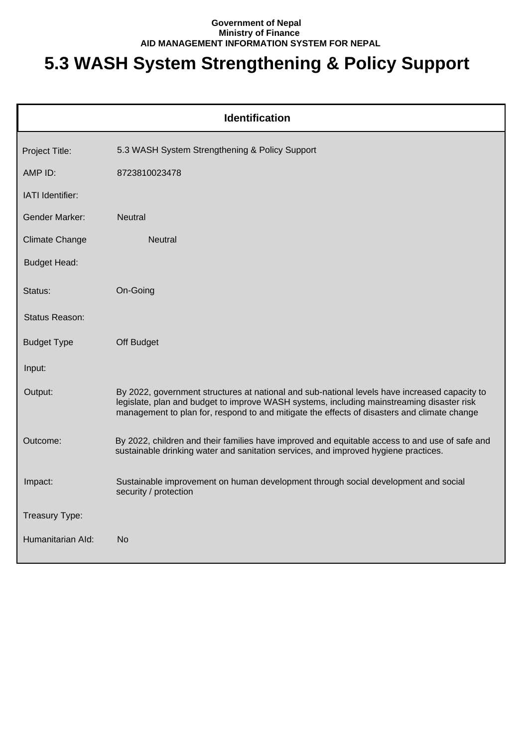## **Government of Nepal Ministry of Finance AID MANAGEMENT INFORMATION SYSTEM FOR NEPAL**

## **5.3 WASH System Strengthening & Policy Support**

| <b>Identification</b> |                                                                                                                                                                                                                                                                                           |  |  |
|-----------------------|-------------------------------------------------------------------------------------------------------------------------------------------------------------------------------------------------------------------------------------------------------------------------------------------|--|--|
| Project Title:        | 5.3 WASH System Strengthening & Policy Support                                                                                                                                                                                                                                            |  |  |
| AMP ID:               | 8723810023478                                                                                                                                                                                                                                                                             |  |  |
| IATI Identifier:      |                                                                                                                                                                                                                                                                                           |  |  |
| <b>Gender Marker:</b> | <b>Neutral</b>                                                                                                                                                                                                                                                                            |  |  |
| <b>Climate Change</b> | Neutral                                                                                                                                                                                                                                                                                   |  |  |
| <b>Budget Head:</b>   |                                                                                                                                                                                                                                                                                           |  |  |
| Status:               | On-Going                                                                                                                                                                                                                                                                                  |  |  |
| Status Reason:        |                                                                                                                                                                                                                                                                                           |  |  |
| <b>Budget Type</b>    | Off Budget                                                                                                                                                                                                                                                                                |  |  |
| Input:                |                                                                                                                                                                                                                                                                                           |  |  |
| Output:               | By 2022, government structures at national and sub-national levels have increased capacity to<br>legislate, plan and budget to improve WASH systems, including mainstreaming disaster risk<br>management to plan for, respond to and mitigate the effects of disasters and climate change |  |  |
| Outcome:              | By 2022, children and their families have improved and equitable access to and use of safe and<br>sustainable drinking water and sanitation services, and improved hygiene practices.                                                                                                     |  |  |
| Impact:               | Sustainable improvement on human development through social development and social<br>security / protection                                                                                                                                                                               |  |  |
| Treasury Type:        |                                                                                                                                                                                                                                                                                           |  |  |
| Humanitarian Ald:     | No                                                                                                                                                                                                                                                                                        |  |  |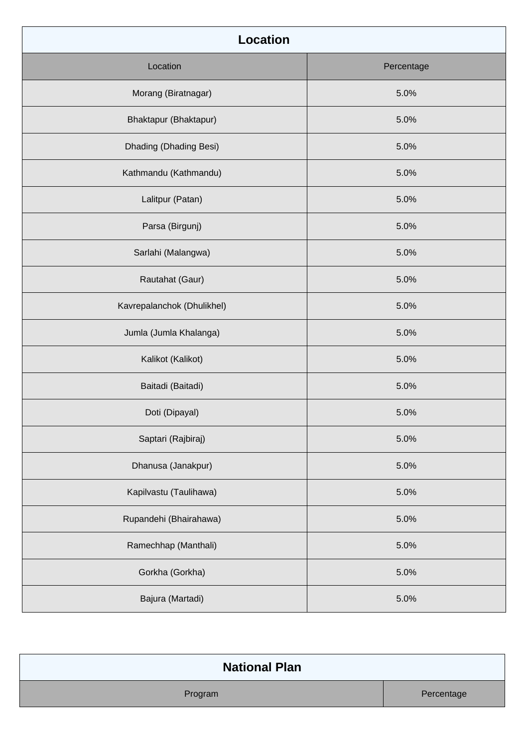| <b>Location</b>            |            |
|----------------------------|------------|
| Location                   | Percentage |
| Morang (Biratnagar)        | 5.0%       |
| Bhaktapur (Bhaktapur)      | 5.0%       |
| Dhading (Dhading Besi)     | 5.0%       |
| Kathmandu (Kathmandu)      | 5.0%       |
| Lalitpur (Patan)           | 5.0%       |
| Parsa (Birgunj)            | 5.0%       |
| Sarlahi (Malangwa)         | 5.0%       |
| Rautahat (Gaur)            | 5.0%       |
| Kavrepalanchok (Dhulikhel) | 5.0%       |
| Jumla (Jumla Khalanga)     | 5.0%       |
| Kalikot (Kalikot)          | 5.0%       |
| Baitadi (Baitadi)          | 5.0%       |
| Doti (Dipayal)             | 5.0%       |
| Saptari (Rajbiraj)         | 5.0%       |
| Dhanusa (Janakpur)         | 5.0%       |
| Kapilvastu (Taulihawa)     | 5.0%       |
| Rupandehi (Bhairahawa)     | 5.0%       |
| Ramechhap (Manthali)       | 5.0%       |
| Gorkha (Gorkha)            | 5.0%       |
| Bajura (Martadi)           | 5.0%       |

| <b>National Plan</b> |            |
|----------------------|------------|
| Program              | Percentage |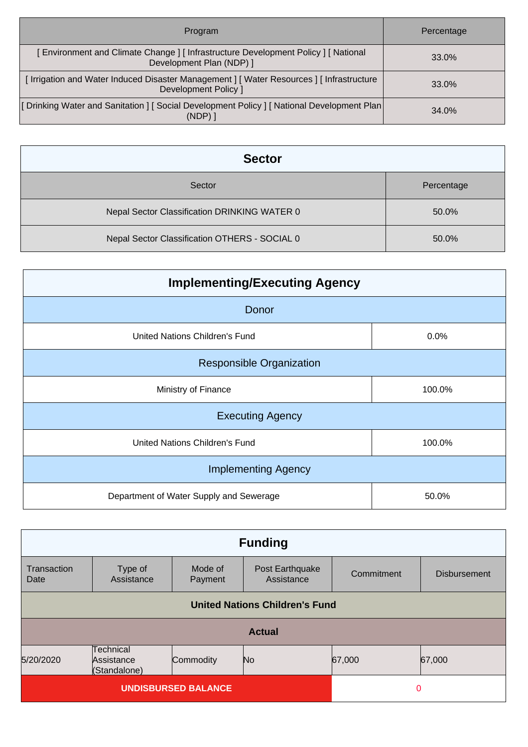| Program                                                                                                           | Percentage |
|-------------------------------------------------------------------------------------------------------------------|------------|
| [Environment and Climate Change] [Infrastructure Development Policy] [National<br>Development Plan (NDP) ]        | 33.0%      |
| [ Irrigation and Water Induced Disaster Management ] [ Water Resources ] [ Infrastructure<br>Development Policy 1 | 33.0%      |
| [Drinking Water and Sanitation ] [Social Development Policy ] [National Development Plan<br>(NDP)                 | 34.0%      |

| <b>Sector</b>                                 |            |
|-----------------------------------------------|------------|
| Sector                                        | Percentage |
| Nepal Sector Classification DRINKING WATER 0  | 50.0%      |
| Nepal Sector Classification OTHERS - SOCIAL 0 | 50.0%      |

| <b>Implementing/Executing Agency</b>    |        |  |
|-----------------------------------------|--------|--|
| Donor                                   |        |  |
| United Nations Children's Fund          | 0.0%   |  |
| <b>Responsible Organization</b>         |        |  |
| Ministry of Finance                     | 100.0% |  |
| <b>Executing Agency</b>                 |        |  |
| United Nations Children's Fund          | 100.0% |  |
| <b>Implementing Agency</b>              |        |  |
| Department of Water Supply and Sewerage | 50.0%  |  |

| <b>Funding</b>                                                          |                       |                    |                               |            |                     |
|-------------------------------------------------------------------------|-----------------------|--------------------|-------------------------------|------------|---------------------|
| Transaction<br>Date                                                     | Type of<br>Assistance | Mode of<br>Payment | Post Earthquake<br>Assistance | Commitment | <b>Disbursement</b> |
| <b>United Nations Children's Fund</b>                                   |                       |                    |                               |            |                     |
|                                                                         | <b>Actual</b>         |                    |                               |            |                     |
| Technical<br>5/20/2020<br>Commodity<br>Assistance<br>No<br>(Standalone) |                       |                    |                               | 67,000     | 67,000              |
| <b>UNDISBURSED BALANCE</b>                                              |                       |                    | 0                             |            |                     |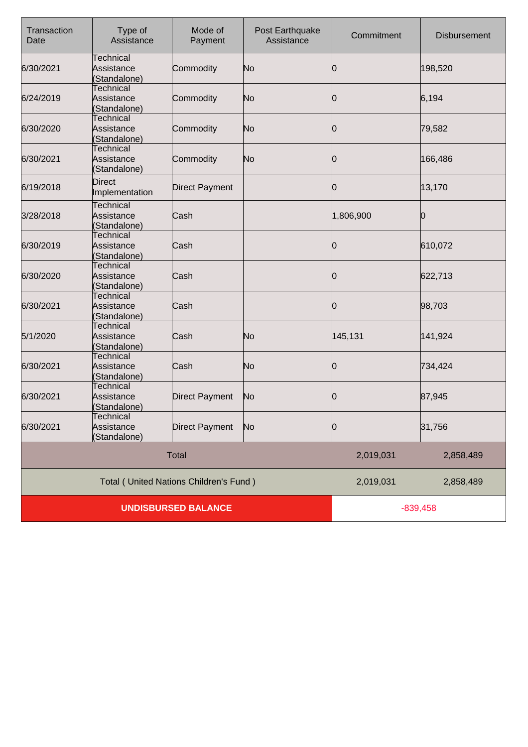| Transaction<br>Date        | Type of<br>Assistance                          | Mode of<br>Payment                            | Post Earthquake<br>Assistance | Commitment | <b>Disbursement</b> |
|----------------------------|------------------------------------------------|-----------------------------------------------|-------------------------------|------------|---------------------|
| 6/30/2021                  | Technical<br>Assistance<br>(Standalone)        | Commodity                                     | No                            | 10         | 198,520             |
| 6/24/2019                  | <b>Technical</b><br>Assistance<br>(Standalone) | Commodity                                     | No                            | Ю          | 6,194               |
| 6/30/2020                  | Technical<br>Assistance<br>(Standalone)        | Commodity                                     | No                            | 0          | 79,582              |
| 6/30/2021                  | Technical<br>Assistance<br>(Standalone)        | Commodity                                     | No                            | Ю          | 166,486             |
| 6/19/2018                  | Direct<br>Implementation                       | <b>Direct Payment</b>                         |                               | 0          | 13,170              |
| 3/28/2018                  | Technical<br>Assistance<br>(Standalone)        | Cash                                          |                               | 1,806,900  | 0                   |
| 6/30/2019                  | Technical<br>Assistance<br>(Standalone)        | Cash                                          |                               | 0          | 610,072             |
| 6/30/2020                  | Technical<br>Assistance<br>(Standalone)        | Cash                                          |                               | 10         | 622,713             |
| 6/30/2021                  | <b>Technical</b><br>Assistance<br>(Standalone) | Cash                                          |                               | Ю          | 98,703              |
| 5/1/2020                   | Technical<br>Assistance<br>(Standalone)        | Cash                                          | No                            | 145,131    | 141,924             |
| 6/30/2021                  | Technical<br>Assistance<br>(Standalone)        | Cash                                          | No                            | 0          | 734,424             |
| 6/30/2021                  | Technical<br>Assistance<br>(Standalone)        | <b>Direct Payment</b>                         | No                            | 0          | 87,945              |
| 6/30/2021                  | Technical<br>Assistance<br>(Standalone)        | <b>Direct Payment</b>                         | No                            | 0          | 31,756              |
|                            |                                                | <b>Total</b>                                  |                               | 2,019,031  | 2,858,489           |
|                            |                                                | <b>Total (United Nations Children's Fund)</b> |                               | 2,019,031  | 2,858,489           |
| <b>UNDISBURSED BALANCE</b> |                                                |                                               | $-839,458$                    |            |                     |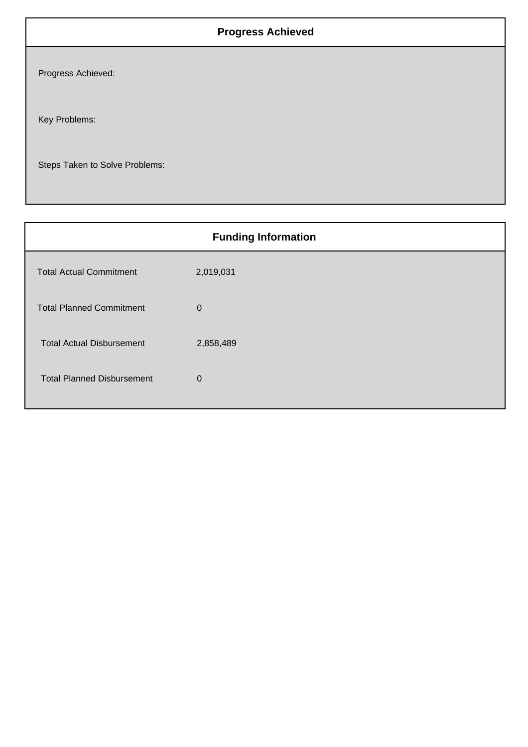## **Progress Achieved**

Progress Achieved:

Key Problems:

Steps Taken to Solve Problems:

| <b>Funding Information</b>        |             |  |
|-----------------------------------|-------------|--|
| <b>Total Actual Commitment</b>    | 2,019,031   |  |
| <b>Total Planned Commitment</b>   | $\mathbf 0$ |  |
| <b>Total Actual Disbursement</b>  | 2,858,489   |  |
| <b>Total Planned Disbursement</b> | $\mathbf 0$ |  |
|                                   |             |  |